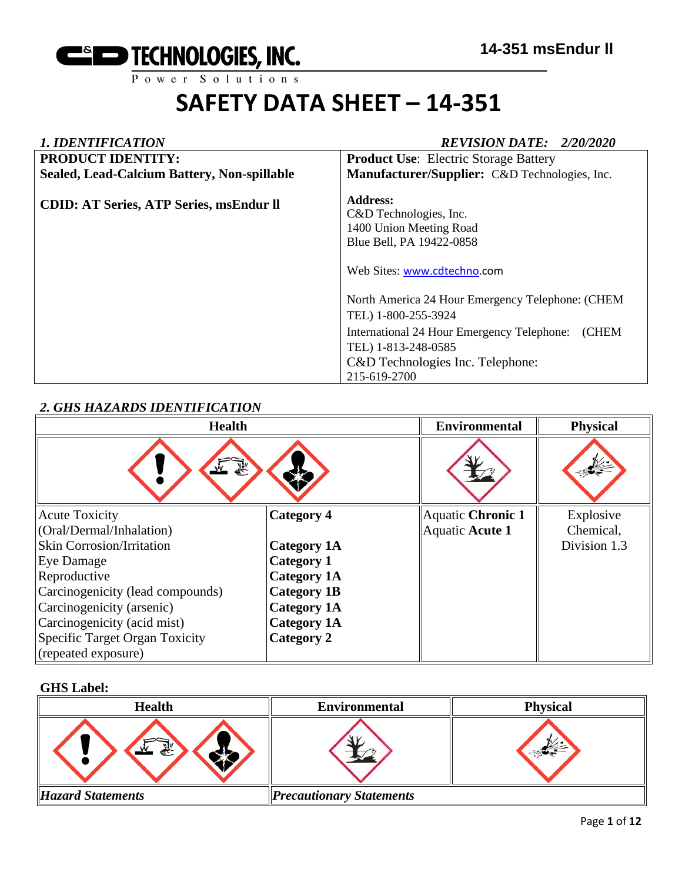

| <b>1. IDENTIFICATION</b>                       | <b>REVISION DATE: 2/20/2020</b>                                                                                                                                                                                                                                                                                                       |
|------------------------------------------------|---------------------------------------------------------------------------------------------------------------------------------------------------------------------------------------------------------------------------------------------------------------------------------------------------------------------------------------|
| PRODUCT IDENTITY:                              | <b>Product Use:</b> Electric Storage Battery                                                                                                                                                                                                                                                                                          |
| Sealed, Lead-Calcium Battery, Non-spillable    | Manufacturer/Supplier: C&D Technologies, Inc.                                                                                                                                                                                                                                                                                         |
| <b>CDID: AT Series, ATP Series, msEndur II</b> | Address:<br>C&D Technologies, Inc.<br>1400 Union Meeting Road<br>Blue Bell, PA 19422-0858<br>Web Sites: www.cdtechno.com<br>North America 24 Hour Emergency Telephone: (CHEM<br>TEL) 1-800-255-3924<br>(CHEM<br>International 24 Hour Emergency Telephone:<br>TEL) 1-813-248-0585<br>C&D Technologies Inc. Telephone:<br>215-619-2700 |

# *2. GHS HAZARDS IDENTIFICATION*

| <b>Health</b>                    |                    | <b>Environmental</b> | <b>Physical</b> |
|----------------------------------|--------------------|----------------------|-----------------|
|                                  |                    |                      |                 |
| <b>Acute Toxicity</b>            | <b>Category 4</b>  | Aquatic Chronic 1    | Explosive       |
| (Oral/Dermal/Inhalation)         |                    | Aquatic Acute 1      | Chemical,       |
| <b>Skin Corrosion/Irritation</b> | <b>Category 1A</b> |                      | Division 1.3    |
| Eye Damage                       | <b>Category 1</b>  |                      |                 |
| Reproductive                     | <b>Category 1A</b> |                      |                 |
| Carcinogenicity (lead compounds) | <b>Category 1B</b> |                      |                 |
| Carcinogenicity (arsenic)        | <b>Category 1A</b> |                      |                 |
| Carcinogenicity (acid mist)      | <b>Category 1A</b> |                      |                 |
| Specific Target Organ Toxicity   | Category 2         |                      |                 |
| (repeated exposure)              |                    |                      |                 |

### **GHS Label:**

| <b>Health</b>            | <b>Environmental</b>            | <b>Physical</b> |
|--------------------------|---------------------------------|-----------------|
| 豪                        |                                 |                 |
| <b>Hazard Statements</b> | <b>Precautionary Statements</b> |                 |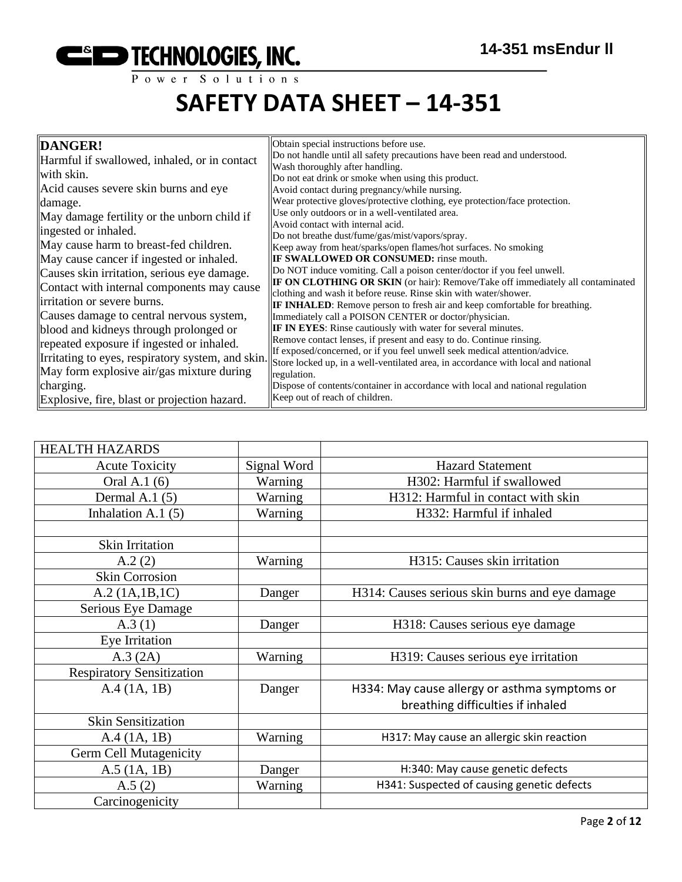

| DANGER!                                           | Obtain special instructions before use.                                               |
|---------------------------------------------------|---------------------------------------------------------------------------------------|
| Harmful if swallowed, inhaled, or in contact      | Do not handle until all safety precautions have been read and understood.             |
| with skin.                                        | Wash thoroughly after handling.                                                       |
|                                                   | Do not eat drink or smoke when using this product.                                    |
| Acid causes severe skin burns and eye             | Avoid contact during pregnancy/while nursing.                                         |
| damage.                                           | Wear protective gloves/protective clothing, eye protection/face protection.           |
| May damage fertility or the unborn child if       | Use only outdoors or in a well-ventilated area.                                       |
| ingested or inhaled.                              | Avoid contact with internal acid.                                                     |
| May cause harm to breast-fed children.            | Do not breathe dust/fume/gas/mist/vapors/spray.                                       |
|                                                   | Keep away from heat/sparks/open flames/hot surfaces. No smoking                       |
| May cause cancer if ingested or inhaled.          | <b>IF SWALLOWED OR CONSUMED:</b> rinse mouth.                                         |
| Causes skin irritation, serious eye damage.       | Do NOT induce vomiting. Call a poison center/doctor if you feel unwell.               |
| Contact with internal components may cause        | <b>IF ON CLOTHING OR SKIN</b> (or hair): Remove/Take off immediately all contaminated |
| irritation or severe burns.                       | clothing and wash it before reuse. Rinse skin with water/shower.                      |
|                                                   | <b>IF INHALED:</b> Remove person to fresh air and keep comfortable for breathing.     |
| Causes damage to central nervous system,          | Immediately call a POISON CENTER or doctor/physician.                                 |
| blood and kidneys through prolonged or            | <b>IF IN EYES:</b> Rinse cautiously with water for several minutes.                   |
| repeated exposure if ingested or inhaled.         | Remove contact lenses, if present and easy to do. Continue rinsing.                   |
| Irritating to eyes, respiratory system, and skin. | If exposed/concerned, or if you feel unwell seek medical attention/advice.            |
| May form explosive air/gas mixture during         | Store locked up, in a well-ventilated area, in accordance with local and national     |
|                                                   | regulation.                                                                           |
| charging.                                         | Dispose of contents/container in accordance with local and national regulation        |
| Explosive, fire, blast or projection hazard.      | Keep out of reach of children.                                                        |

| <b>HEALTH HAZARDS</b>            |             |                                                |
|----------------------------------|-------------|------------------------------------------------|
| <b>Acute Toxicity</b>            | Signal Word | <b>Hazard Statement</b>                        |
| Oral A.1 (6)                     | Warning     | H302: Harmful if swallowed                     |
| Dermal A.1 $(5)$                 | Warning     | H312: Harmful in contact with skin             |
| Inhalation A.1 $(5)$             | Warning     | H332: Harmful if inhaled                       |
|                                  |             |                                                |
| Skin Irritation                  |             |                                                |
| A.2(2)                           | Warning     | H315: Causes skin irritation                   |
| <b>Skin Corrosion</b>            |             |                                                |
| A.2 (1A.1B.1C)                   | Danger      | H314: Causes serious skin burns and eye damage |
| Serious Eye Damage               |             |                                                |
| A.3(1)                           | Danger      | H318: Causes serious eye damage                |
| Eye Irritation                   |             |                                                |
| A.3 (2A)                         | Warning     | H319: Causes serious eye irritation            |
| <b>Respiratory Sensitization</b> |             |                                                |
| A.4 (1A, 1B)                     | Danger      | H334: May cause allergy or asthma symptoms or  |
|                                  |             | breathing difficulties if inhaled              |
| <b>Skin Sensitization</b>        |             |                                                |
| A.4 (1A, 1B)                     | Warning     | H317: May cause an allergic skin reaction      |
| <b>Germ Cell Mutagenicity</b>    |             |                                                |
| $A.5$ (1A, 1B)                   | Danger      | H:340: May cause genetic defects               |
| A.5(2)                           | Warning     | H341: Suspected of causing genetic defects     |
| Carcinogenicity                  |             |                                                |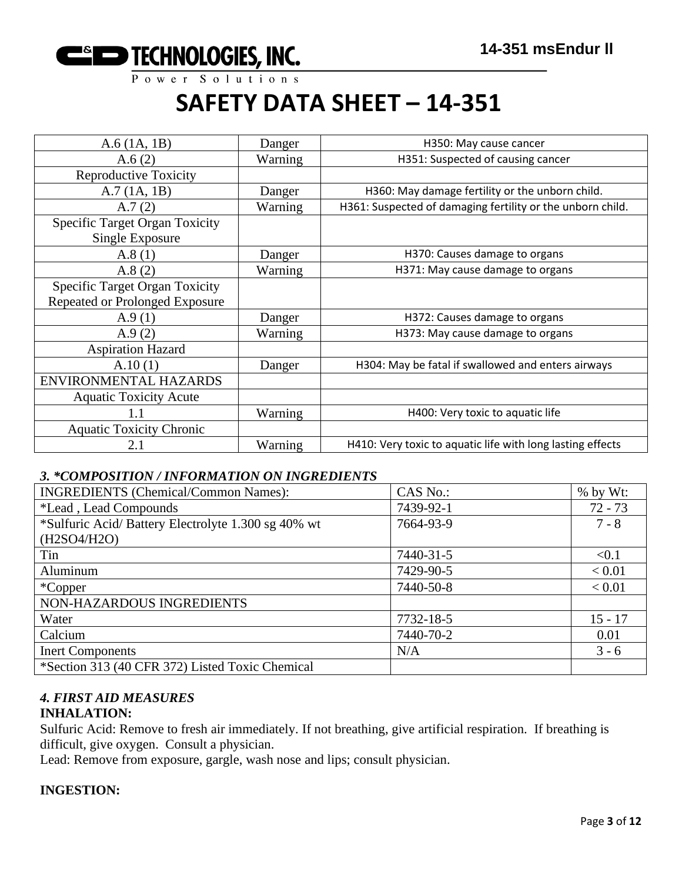

| A.6(1A, 1B)                                                     | Danger  | H350: May cause cancer                                     |
|-----------------------------------------------------------------|---------|------------------------------------------------------------|
| A.6(2)                                                          | Warning | H351: Suspected of causing cancer                          |
| <b>Reproductive Toxicity</b>                                    |         |                                                            |
| A.7(1A, 1B)                                                     | Danger  | H360: May damage fertility or the unborn child.            |
| A.7(2)                                                          | Warning | H361: Suspected of damaging fertility or the unborn child. |
| <b>Specific Target Organ Toxicity</b><br><b>Single Exposure</b> |         |                                                            |
| A.8(1)                                                          | Danger  | H370: Causes damage to organs                              |
| A.8(2)                                                          | Warning | H371: May cause damage to organs                           |
| <b>Specific Target Organ Toxicity</b>                           |         |                                                            |
| Repeated or Prolonged Exposure                                  |         |                                                            |
| A.9(1)                                                          | Danger  | H372: Causes damage to organs                              |
| A.9(2)                                                          | Warning | H373: May cause damage to organs                           |
| <b>Aspiration Hazard</b>                                        |         |                                                            |
| A.10(1)                                                         | Danger  | H304: May be fatal if swallowed and enters airways         |
| ENVIRONMENTAL HAZARDS                                           |         |                                                            |
| <b>Aquatic Toxicity Acute</b>                                   |         |                                                            |
|                                                                 | Warning | H400: Very toxic to aquatic life                           |
| <b>Aquatic Toxicity Chronic</b>                                 |         |                                                            |
| 2.1                                                             | Warning | H410: Very toxic to aquatic life with long lasting effects |

#### *3. \*COMPOSITION / INFORMATION ON INGREDIENTS*

| <b>INGREDIENTS</b> (Chemical/Common Names):        | CAS No.:  | $%$ by Wt: |
|----------------------------------------------------|-----------|------------|
| <i>*Lead</i> , Lead Compounds                      | 7439-92-1 | $72 - 73$  |
| *Sulfuric Acid/Battery Electrolyte 1.300 sg 40% wt | 7664-93-9 | $7 - 8$    |
| (H2SO4/H2O)                                        |           |            |
| Tin                                                | 7440-31-5 | < 0.1      |
| Aluminum                                           | 7429-90-5 | < 0.01     |
| *Copper                                            | 7440-50-8 | < 0.01     |
| NON-HAZARDOUS INGREDIENTS                          |           |            |
| Water                                              | 7732-18-5 | $15 - 17$  |
| Calcium                                            | 7440-70-2 | 0.01       |
| <b>Inert Components</b>                            | N/A       | $3 - 6$    |
| *Section 313 (40 CFR 372) Listed Toxic Chemical    |           |            |

# *4. FIRST AID MEASURES*

### **INHALATION:**

Sulfuric Acid: Remove to fresh air immediately. If not breathing, give artificial respiration. If breathing is difficult, give oxygen. Consult a physician.

Lead: Remove from exposure, gargle, wash nose and lips; consult physician.

### **INGESTION:**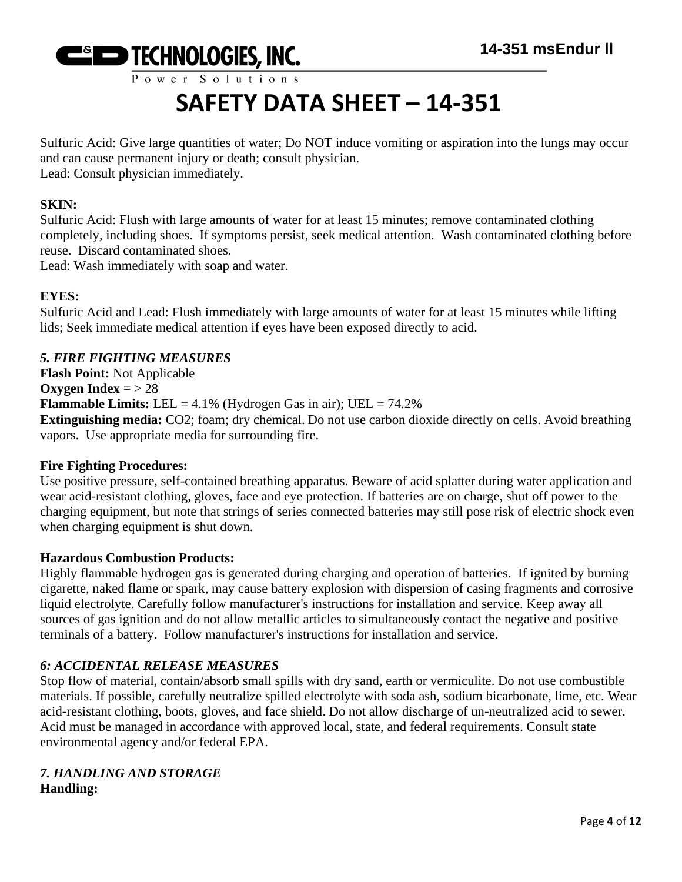

Sulfuric Acid: Give large quantities of water; Do NOT induce vomiting or aspiration into the lungs may occur and can cause permanent injury or death; consult physician. Lead: Consult physician immediately.

### **SKIN:**

Sulfuric Acid: Flush with large amounts of water for at least 15 minutes; remove contaminated clothing completely, including shoes. If symptoms persist, seek medical attention. Wash contaminated clothing before reuse. Discard contaminated shoes.

Lead: Wash immediately with soap and water.

### **EYES:**

Sulfuric Acid and Lead: Flush immediately with large amounts of water for at least 15 minutes while lifting lids; Seek immediate medical attention if eyes have been exposed directly to acid.

### *5. FIRE FIGHTING MEASURES*

**Flash Point:** Not Applicable **Oxygen Index** =  $> 28$ **Flammable Limits:** LEL =  $4.1\%$  (Hydrogen Gas in air); UEL =  $74.2\%$ **Extinguishing media:** CO2; foam; dry chemical. Do not use carbon dioxide directly on cells. Avoid breathing vapors. Use appropriate media for surrounding fire.

#### **Fire Fighting Procedures:**

Use positive pressure, self-contained breathing apparatus. Beware of acid splatter during water application and wear acid-resistant clothing, gloves, face and eye protection. If batteries are on charge, shut off power to the charging equipment, but note that strings of series connected batteries may still pose risk of electric shock even when charging equipment is shut down.

#### **Hazardous Combustion Products:**

Highly flammable hydrogen gas is generated during charging and operation of batteries. If ignited by burning cigarette, naked flame or spark, may cause battery explosion with dispersion of casing fragments and corrosive liquid electrolyte. Carefully follow manufacturer's instructions for installation and service. Keep away all sources of gas ignition and do not allow metallic articles to simultaneously contact the negative and positive terminals of a battery. Follow manufacturer's instructions for installation and service.

### *6: ACCIDENTAL RELEASE MEASURES*

Stop flow of material, contain/absorb small spills with dry sand, earth or vermiculite. Do not use combustible materials. If possible, carefully neutralize spilled electrolyte with soda ash, sodium bicarbonate, lime, etc. Wear acid-resistant clothing, boots, gloves, and face shield. Do not allow discharge of un-neutralized acid to sewer. Acid must be managed in accordance with approved local, state, and federal requirements. Consult state environmental agency and/or federal EPA.

#### *7. HANDLING AND STORAGE* **Handling:**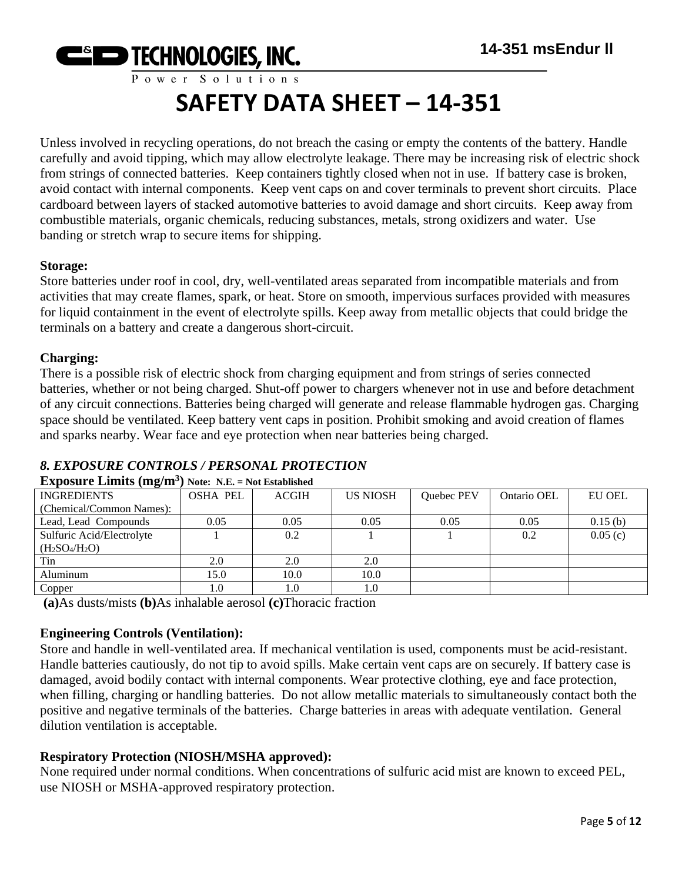

Unless involved in recycling operations, do not breach the casing or empty the contents of the battery. Handle carefully and avoid tipping, which may allow electrolyte leakage. There may be increasing risk of electric shock from strings of connected batteries. Keep containers tightly closed when not in use. If battery case is broken, avoid contact with internal components. Keep vent caps on and cover terminals to prevent short circuits. Place cardboard between layers of stacked automotive batteries to avoid damage and short circuits. Keep away from combustible materials, organic chemicals, reducing substances, metals, strong oxidizers and water. Use banding or stretch wrap to secure items for shipping.

#### **Storage:**

Store batteries under roof in cool, dry, well-ventilated areas separated from incompatible materials and from activities that may create flames, spark, or heat. Store on smooth, impervious surfaces provided with measures for liquid containment in the event of electrolyte spills. Keep away from metallic objects that could bridge the terminals on a battery and create a dangerous short-circuit.

### **Charging:**

There is a possible risk of electric shock from charging equipment and from strings of series connected batteries, whether or not being charged. Shut-off power to chargers whenever not in use and before detachment of any circuit connections. Batteries being charged will generate and release flammable hydrogen gas. Charging space should be ventilated. Keep battery vent caps in position. Prohibit smoking and avoid creation of flames and sparks nearby. Wear face and eye protection when near batteries being charged.

# *8. EXPOSURE CONTROLS / PERSONAL PROTECTION*

| <b>INGREDIENTS</b>        | <b>OSHA PEL</b> | <b>ACGIH</b> | <b>US NIOSH</b> | Quebec PEV | Ontario OEL | <b>EU OEL</b> |
|---------------------------|-----------------|--------------|-----------------|------------|-------------|---------------|
| (Chemical/Common Names):  |                 |              |                 |            |             |               |
| Lead, Lead Compounds      | 0.05            | 0.05         | 0.05            | 0.05       | 0.05        | 0.15(b)       |
| Sulfuric Acid/Electrolyte |                 | 0.2          |                 |            | 0.2         | 0.05(c)       |
| $(H_2SO_4/H_2O)$          |                 |              |                 |            |             |               |
| Tin                       | 2.0             | 2.0          | 2.0             |            |             |               |
| Aluminum                  | 15.0            | 10.0         | 10.0            |            |             |               |
| Copper                    | 0.1             | 1.0          | 1.0             |            |             |               |

#### **Exposure Limits (mg/m<sup>3</sup> ) Note: N.E. = Not Established**

**(a)**As dusts/mists **(b)**As inhalable aerosol **(c)**Thoracic fraction

### **Engineering Controls (Ventilation):**

Store and handle in well-ventilated area. If mechanical ventilation is used, components must be acid-resistant. Handle batteries cautiously, do not tip to avoid spills. Make certain vent caps are on securely. If battery case is damaged, avoid bodily contact with internal components. Wear protective clothing, eye and face protection, when filling, charging or handling batteries. Do not allow metallic materials to simultaneously contact both the positive and negative terminals of the batteries. Charge batteries in areas with adequate ventilation. General dilution ventilation is acceptable.

### **Respiratory Protection (NIOSH/MSHA approved):**

None required under normal conditions. When concentrations of sulfuric acid mist are known to exceed PEL, use NIOSH or MSHA-approved respiratory protection.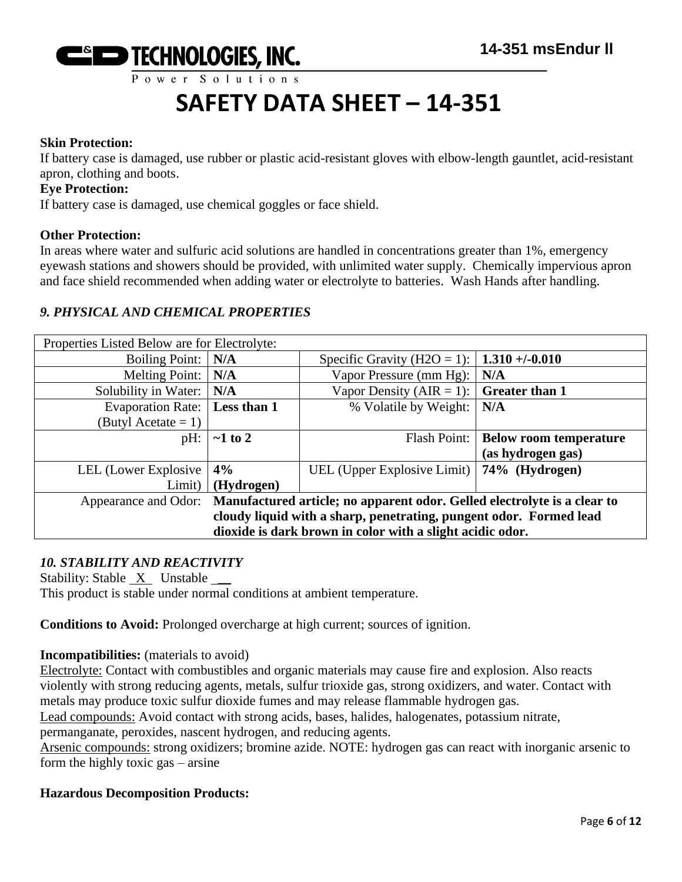

#### **Skin Protection:**

If battery case is damaged, use rubber or plastic acid-resistant gloves with elbow-length gauntlet, acid-resistant apron, clothing and boots.

#### **Eye Protection:**

If battery case is damaged, use chemical goggles or face shield.

#### **Other Protection:**

In areas where water and sulfuric acid solutions are handled in concentrations greater than 1%, emergency eyewash stations and showers should be provided, with unlimited water supply. Chemically impervious apron and face shield recommended when adding water or electrolyte to batteries. Wash Hands after handling.

### *9. PHYSICAL AND CHEMICAL PROPERTIES*

| Properties Listed Below are for Electrolyte:                                                  |               |                                              |                               |  |
|-----------------------------------------------------------------------------------------------|---------------|----------------------------------------------|-------------------------------|--|
| Boiling Point:   N/A                                                                          |               | Specific Gravity (H2O = 1):                  | $1.310 + (-0.010$             |  |
| Melting Point: $\vert N/A \vert$                                                              |               | Vapor Pressure (mm Hg):                      | N/A                           |  |
| Solubility in Water:   N/A                                                                    |               | Vapor Density (AIR = 1):                     | <b>Greater than 1</b>         |  |
| Evaporation Rate:   Less than 1                                                               |               | % Volatile by Weight:                        | N/A                           |  |
| (Butyl Acetate $= 1$ )                                                                        |               |                                              |                               |  |
| $pH$ :                                                                                        | $\sim$ 1 to 2 | Flash Point:                                 | <b>Below room temperature</b> |  |
|                                                                                               |               |                                              | (as hydrogen gas)             |  |
| LEL (Lower Explosive)                                                                         | 4%            | UEL (Upper Explosive Limit)   74% (Hydrogen) |                               |  |
| Limit)                                                                                        | (Hydrogen)    |                                              |                               |  |
| Appearance and Odor: Manufactured article; no apparent odor. Gelled electrolyte is a clear to |               |                                              |                               |  |
| cloudy liquid with a sharp, penetrating, pungent odor. Formed lead                            |               |                                              |                               |  |
| dioxide is dark brown in color with a slight acidic odor.                                     |               |                                              |                               |  |

#### *10. STABILITY AND REACTIVITY*

Stability: Stable  $X$  Unstable  $\_\_\_\$ 

This product is stable under normal conditions at ambient temperature.

**Conditions to Avoid:** Prolonged overcharge at high current; sources of ignition.

**Incompatibilities:** (materials to avoid)

Electrolyte: Contact with combustibles and organic materials may cause fire and explosion. Also reacts violently with strong reducing agents, metals, sulfur trioxide gas, strong oxidizers, and water. Contact with metals may produce toxic sulfur dioxide fumes and may release flammable hydrogen gas.

Lead compounds: Avoid contact with strong acids, bases, halides, halogenates, potassium nitrate,

permanganate, peroxides, nascent hydrogen, and reducing agents.

Arsenic compounds: strong oxidizers; bromine azide. NOTE: hydrogen gas can react with inorganic arsenic to form the highly toxic gas – arsine

#### **Hazardous Decomposition Products:**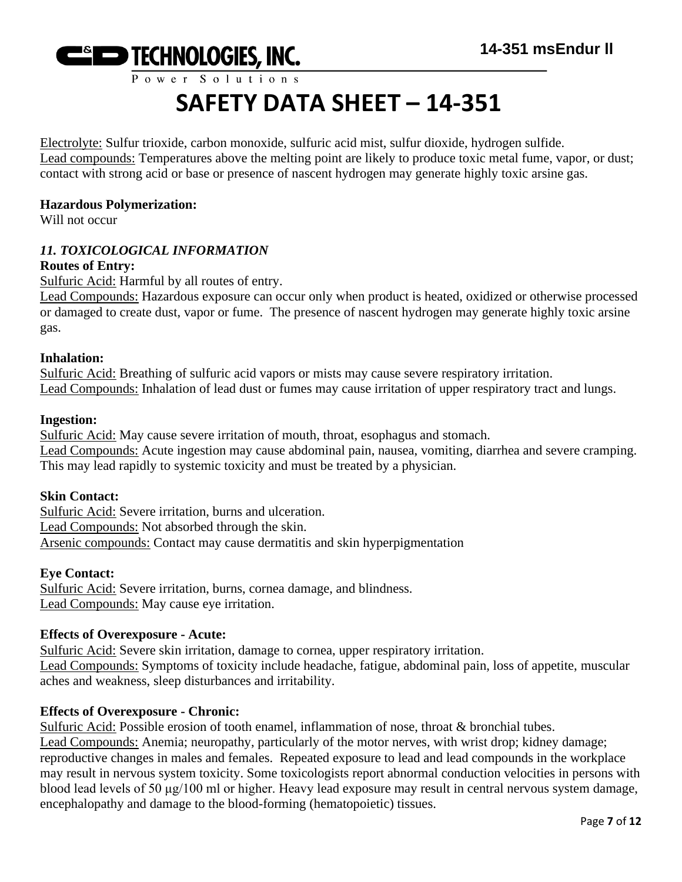

Electrolyte: Sulfur trioxide, carbon monoxide, sulfuric acid mist, sulfur dioxide, hydrogen sulfide. Lead compounds: Temperatures above the melting point are likely to produce toxic metal fume, vapor, or dust; contact with strong acid or base or presence of nascent hydrogen may generate highly toxic arsine gas.

#### **Hazardous Polymerization:**

Will not occur

### *11. TOXICOLOGICAL INFORMATION*

#### **Routes of Entry:**

Sulfuric Acid: Harmful by all routes of entry.

Lead Compounds: Hazardous exposure can occur only when product is heated, oxidized or otherwise processed or damaged to create dust, vapor or fume. The presence of nascent hydrogen may generate highly toxic arsine gas.

#### **Inhalation:**

Sulfuric Acid: Breathing of sulfuric acid vapors or mists may cause severe respiratory irritation. Lead Compounds: Inhalation of lead dust or fumes may cause irritation of upper respiratory tract and lungs.

#### **Ingestion:**

Sulfuric Acid: May cause severe irritation of mouth, throat, esophagus and stomach. Lead Compounds: Acute ingestion may cause abdominal pain, nausea, vomiting, diarrhea and severe cramping. This may lead rapidly to systemic toxicity and must be treated by a physician.

#### **Skin Contact:**

Sulfuric Acid: Severe irritation, burns and ulceration. Lead Compounds: Not absorbed through the skin. Arsenic compounds: Contact may cause dermatitis and skin hyperpigmentation

#### **Eye Contact:**

Sulfuric Acid: Severe irritation, burns, cornea damage, and blindness. Lead Compounds: May cause eye irritation.

#### **Effects of Overexposure - Acute:**

Sulfuric Acid: Severe skin irritation, damage to cornea, upper respiratory irritation. Lead Compounds: Symptoms of toxicity include headache, fatigue, abdominal pain, loss of appetite, muscular aches and weakness, sleep disturbances and irritability.

#### **Effects of Overexposure - Chronic:**

Sulfuric Acid: Possible erosion of tooth enamel, inflammation of nose, throat & bronchial tubes. Lead Compounds: Anemia; neuropathy, particularly of the motor nerves, with wrist drop; kidney damage; reproductive changes in males and females. Repeated exposure to lead and lead compounds in the workplace may result in nervous system toxicity. Some toxicologists report abnormal conduction velocities in persons with blood lead levels of 50 μg/100 ml or higher. Heavy lead exposure may result in central nervous system damage, encephalopathy and damage to the blood-forming (hematopoietic) tissues.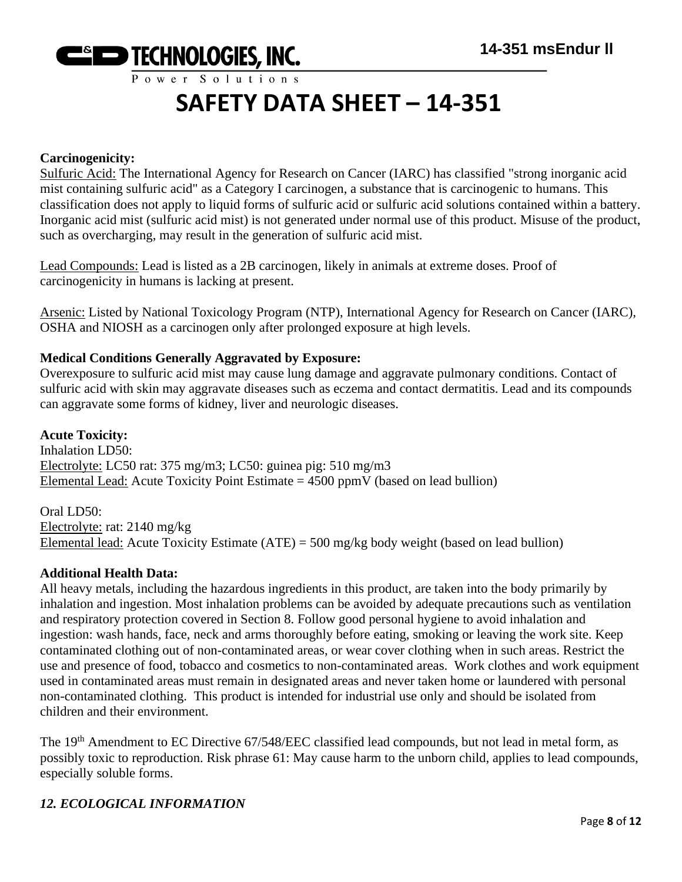

#### **Carcinogenicity:**

Sulfuric Acid: The International Agency for Research on Cancer (IARC) has classified "strong inorganic acid mist containing sulfuric acid" as a Category I carcinogen, a substance that is carcinogenic to humans. This classification does not apply to liquid forms of sulfuric acid or sulfuric acid solutions contained within a battery. Inorganic acid mist (sulfuric acid mist) is not generated under normal use of this product. Misuse of the product, such as overcharging, may result in the generation of sulfuric acid mist.

Lead Compounds: Lead is listed as a 2B carcinogen, likely in animals at extreme doses. Proof of carcinogenicity in humans is lacking at present.

Arsenic: Listed by National Toxicology Program (NTP), International Agency for Research on Cancer (IARC), OSHA and NIOSH as a carcinogen only after prolonged exposure at high levels.

#### **Medical Conditions Generally Aggravated by Exposure:**

Overexposure to sulfuric acid mist may cause lung damage and aggravate pulmonary conditions. Contact of sulfuric acid with skin may aggravate diseases such as eczema and contact dermatitis. Lead and its compounds can aggravate some forms of kidney, liver and neurologic diseases.

#### **Acute Toxicity:**

Inhalation LD50: Electrolyte: LC50 rat: 375 mg/m3; LC50: guinea pig: 510 mg/m3 Elemental Lead: Acute Toxicity Point Estimate  $= 4500$  ppmV (based on lead bullion)

Oral LD50: Electrolyte: rat: 2140 mg/kg Elemental lead: Acute Toxicity Estimate (ATE) = 500 mg/kg body weight (based on lead bullion)

#### **Additional Health Data:**

All heavy metals, including the hazardous ingredients in this product, are taken into the body primarily by inhalation and ingestion. Most inhalation problems can be avoided by adequate precautions such as ventilation and respiratory protection covered in Section 8. Follow good personal hygiene to avoid inhalation and ingestion: wash hands, face, neck and arms thoroughly before eating, smoking or leaving the work site. Keep contaminated clothing out of non-contaminated areas, or wear cover clothing when in such areas. Restrict the use and presence of food, tobacco and cosmetics to non-contaminated areas. Work clothes and work equipment used in contaminated areas must remain in designated areas and never taken home or laundered with personal non-contaminated clothing. This product is intended for industrial use only and should be isolated from children and their environment.

The 19<sup>th</sup> Amendment to EC Directive 67/548/EEC classified lead compounds, but not lead in metal form, as possibly toxic to reproduction. Risk phrase 61: May cause harm to the unborn child, applies to lead compounds, especially soluble forms.

#### *12. ECOLOGICAL INFORMATION*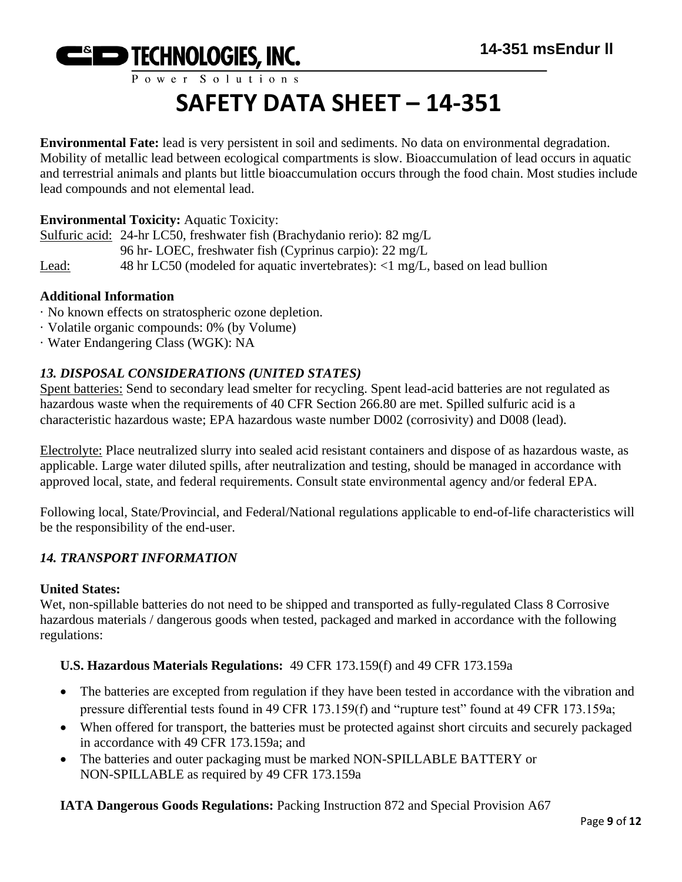

**Environmental Fate:** lead is very persistent in soil and sediments. No data on environmental degradation. Mobility of metallic lead between ecological compartments is slow. Bioaccumulation of lead occurs in aquatic and terrestrial animals and plants but little bioaccumulation occurs through the food chain. Most studies include lead compounds and not elemental lead.

### **Environmental Toxicity:** Aquatic Toxicity:

Sulfuric acid: 24-hr LC50, freshwater fish (Brachydanio rerio): 82 mg/L 96 hr- LOEC, freshwater fish (Cyprinus carpio): 22 mg/L Lead: 48 hr LC50 (modeled for aquatic invertebrates): <1 mg/L, based on lead bullion

#### **Additional Information**

- · No known effects on stratospheric ozone depletion.
- · Volatile organic compounds: 0% (by Volume)
- · Water Endangering Class (WGK): NA

### *13. DISPOSAL CONSIDERATIONS (UNITED STATES)*

Spent batteries: Send to secondary lead smelter for recycling. Spent lead-acid batteries are not regulated as hazardous waste when the requirements of 40 CFR Section 266.80 are met. Spilled sulfuric acid is a characteristic hazardous waste; EPA hazardous waste number D002 (corrosivity) and D008 (lead).

Electrolyte: Place neutralized slurry into sealed acid resistant containers and dispose of as hazardous waste, as applicable. Large water diluted spills, after neutralization and testing, should be managed in accordance with approved local, state, and federal requirements. Consult state environmental agency and/or federal EPA.

Following local, State/Provincial, and Federal/National regulations applicable to end-of-life characteristics will be the responsibility of the end-user.

### *14. TRANSPORT INFORMATION*

#### **United States:**

Wet, non-spillable batteries do not need to be shipped and transported as fully-regulated Class 8 Corrosive hazardous materials / dangerous goods when tested, packaged and marked in accordance with the following regulations:

#### **U.S. Hazardous Materials Regulations:** 49 CFR 173.159(f) and 49 CFR 173.159a

- The batteries are excepted from regulation if they have been tested in accordance with the vibration and pressure differential tests found in 49 CFR 173.159(f) and "rupture test" found at 49 CFR 173.159a;
- When offered for transport, the batteries must be protected against short circuits and securely packaged in accordance with 49 CFR 173.159a; and
- The batteries and outer packaging must be marked NON-SPILLABLE BATTERY or NON-SPILLABLE as required by 49 CFR 173.159a

**IATA Dangerous Goods Regulations:** Packing Instruction 872 and Special Provision A67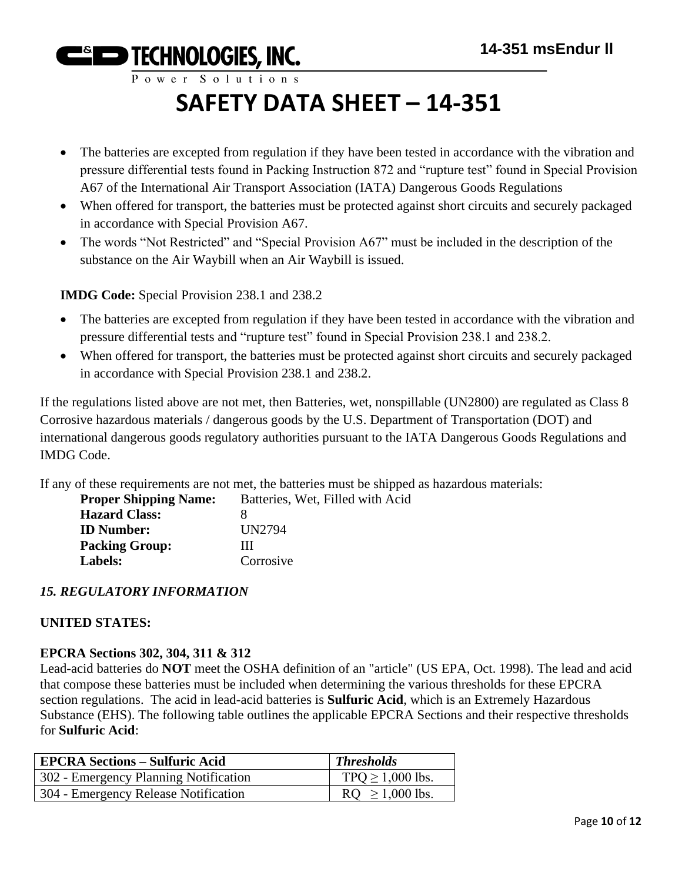Power Solutions

# **SAFETY DATA SHEET – 14-351**

- The batteries are excepted from regulation if they have been tested in accordance with the vibration and pressure differential tests found in Packing Instruction 872 and "rupture test" found in Special Provision A67 of the International Air Transport Association (IATA) Dangerous Goods Regulations
- When offered for transport, the batteries must be protected against short circuits and securely packaged in accordance with Special Provision A67.
- The words "Not Restricted" and "Special Provision A67" must be included in the description of the substance on the Air Waybill when an Air Waybill is issued.

**IMDG Code:** Special Provision 238.1 and 238.2

- The batteries are excepted from regulation if they have been tested in accordance with the vibration and pressure differential tests and "rupture test" found in Special Provision 238.1 and 238.2.
- When offered for transport, the batteries must be protected against short circuits and securely packaged in accordance with Special Provision 238.1 and 238.2.

If the regulations listed above are not met, then Batteries, wet, nonspillable (UN2800) are regulated as Class 8 Corrosive hazardous materials / dangerous goods by the U.S. Department of Transportation (DOT) and international dangerous goods regulatory authorities pursuant to the IATA Dangerous Goods Regulations and IMDG Code.

If any of these requirements are not met, the batteries must be shipped as hazardous materials:

| <b>Proper Shipping Name:</b> | Batteries, Wet, Filled with Acid |
|------------------------------|----------------------------------|
| <b>Hazard Class:</b>         |                                  |
| <b>ID</b> Number:            | UN2794                           |
| <b>Packing Group:</b>        | ш                                |
| Labels:                      | Corrosive                        |

# *15. REGULATORY INFORMATION*

# **UNITED STATES:**

### **EPCRA Sections 302, 304, 311 & 312**

Lead-acid batteries do **NOT** meet the OSHA definition of an "article" (US EPA, Oct. 1998). The lead and acid that compose these batteries must be included when determining the various thresholds for these EPCRA section regulations. The acid in lead-acid batteries is **Sulfuric Acid**, which is an Extremely Hazardous Substance (EHS). The following table outlines the applicable EPCRA Sections and their respective thresholds for **Sulfuric Acid**:

| <b>EPCRA Sections – Sulfuric Acid</b> | <b>Thresholds</b>    |
|---------------------------------------|----------------------|
| 302 - Emergency Planning Notification | $TPQ \ge 1,000$ lbs. |
| 304 - Emergency Release Notification  | $RQ \ge 1,000$ lbs.  |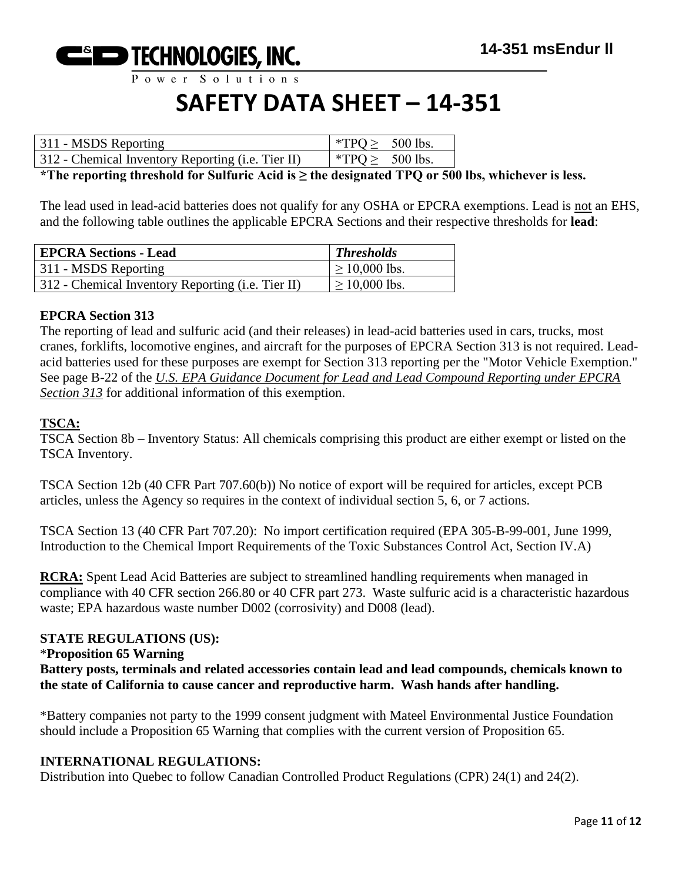

Power Solutions

# **SAFETY DATA SHEET – 14-351**

| 311 - MSDS Reporting                              | *TPQ $\geq$ 500 lbs. |  |
|---------------------------------------------------|----------------------|--|
| 312 - Chemical Inventory Reporting (i.e. Tier II) | *TPQ $\geq$ 500 lbs. |  |

**\*The reporting threshold for Sulfuric Acid is ≥ the designated TPQ or 500 lbs, whichever is less.**

The lead used in lead-acid batteries does not qualify for any OSHA or EPCRA exemptions. Lead is not an EHS, and the following table outlines the applicable EPCRA Sections and their respective thresholds for **lead**:

| <b>EPCRA Sections - Lead</b>                      | <b>Thresholds</b>  |
|---------------------------------------------------|--------------------|
| 311 - MSDS Reporting                              | $\geq$ 10,000 lbs. |
| 312 - Chemical Inventory Reporting (i.e. Tier II) | $\geq$ 10,000 lbs. |

#### **EPCRA Section 313**

The reporting of lead and sulfuric acid (and their releases) in lead-acid batteries used in cars, trucks, most cranes, forklifts, locomotive engines, and aircraft for the purposes of EPCRA Section 313 is not required. Leadacid batteries used for these purposes are exempt for Section 313 reporting per the "Motor Vehicle Exemption." See page B-22 of the *U.S. EPA Guidance Document for Lead and Lead Compound Reporting under EPCRA Section 313* for additional information of this exemption.

### **TSCA:**

TSCA Section 8b – Inventory Status: All chemicals comprising this product are either exempt or listed on the TSCA Inventory.

TSCA Section 12b (40 CFR Part 707.60(b)) No notice of export will be required for articles, except PCB articles, unless the Agency so requires in the context of individual section 5, 6, or 7 actions.

TSCA Section 13 (40 CFR Part 707.20): No import certification required (EPA 305-B-99-001, June 1999, Introduction to the Chemical Import Requirements of the Toxic Substances Control Act, Section IV.A)

**RCRA:** Spent Lead Acid Batteries are subject to streamlined handling requirements when managed in compliance with 40 CFR section 266.80 or 40 CFR part 273. Waste sulfuric acid is a characteristic hazardous waste; EPA hazardous waste number D002 (corrosivity) and D008 (lead).

#### **STATE REGULATIONS (US):**

#### \***Proposition 65 Warning**

**Battery posts, terminals and related accessories contain lead and lead compounds, chemicals known to the state of California to cause cancer and reproductive harm. Wash hands after handling.**

\*Battery companies not party to the 1999 consent judgment with Mateel Environmental Justice Foundation should include a Proposition 65 Warning that complies with the current version of Proposition 65.

#### **INTERNATIONAL REGULATIONS:**

Distribution into Quebec to follow Canadian Controlled Product Regulations (CPR) 24(1) and 24(2).